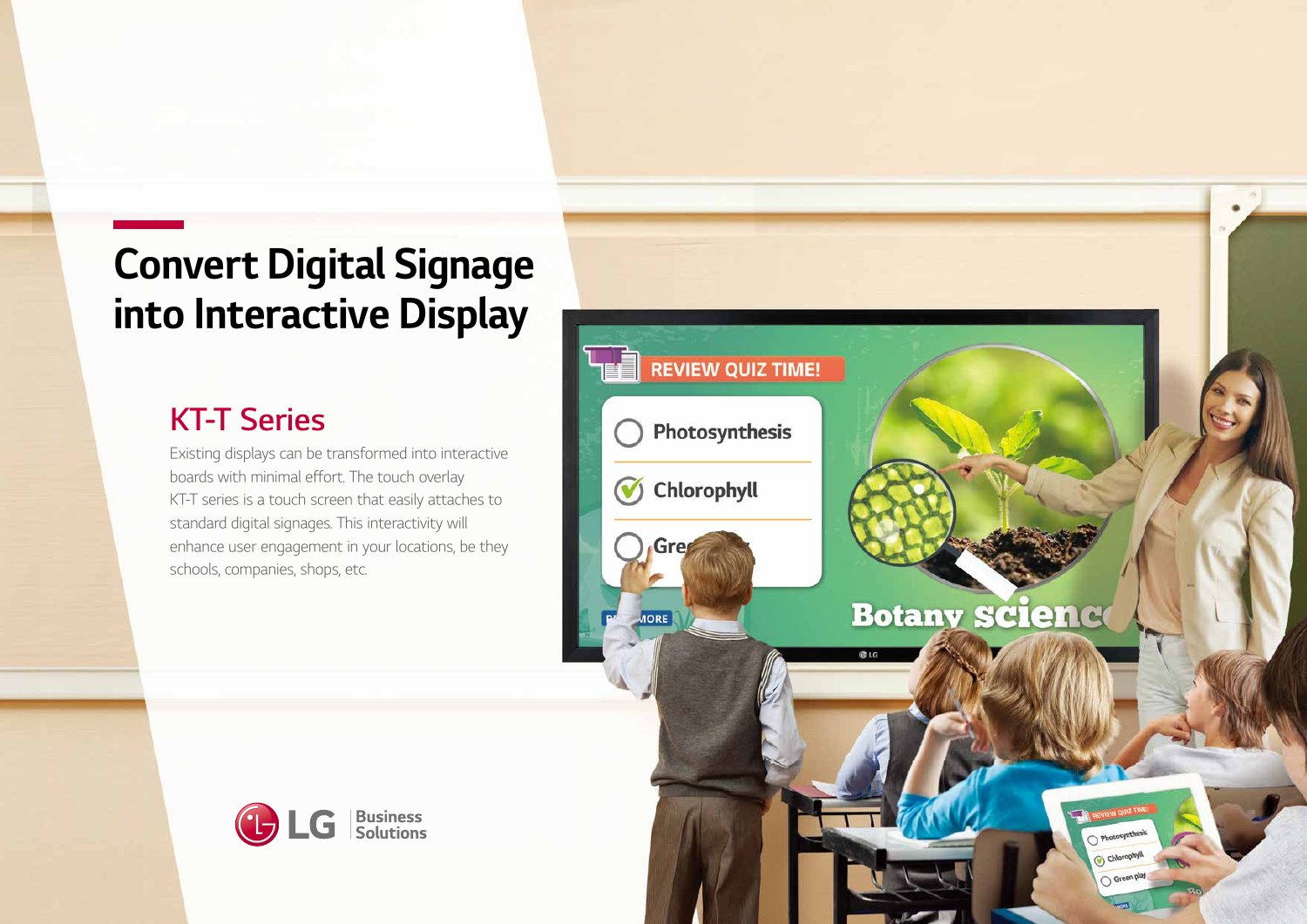# Convert Digital Signage into Interactive Display

# KT-T Series

Existing displays can be transformed into interactive boards with minimal effort. The touch overlay KT-T series is a touch screen that easily attaches to standard digital signages. This interactivity will enhance user engagement in your locations, be they schools, companies, shops, etc.



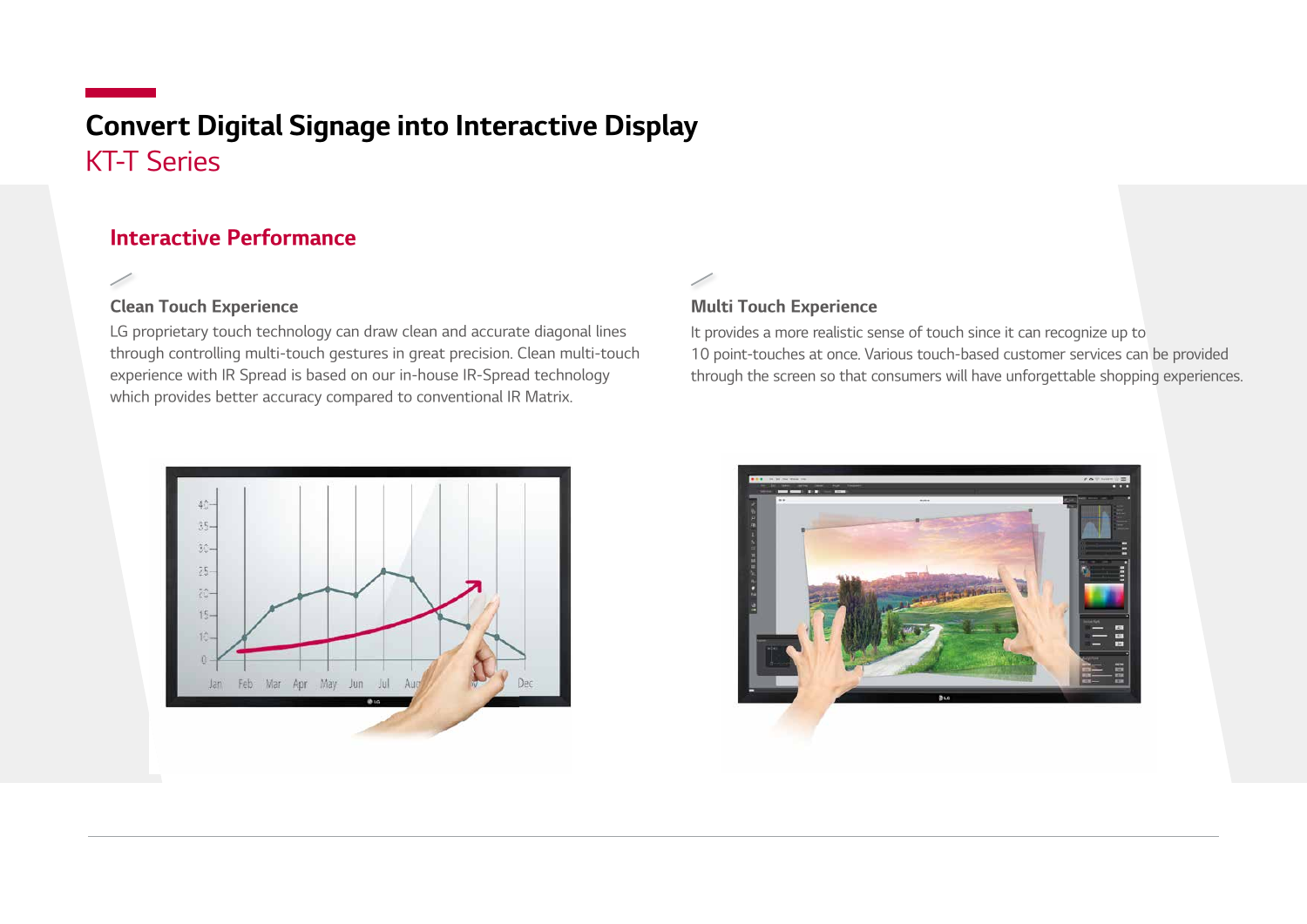## KT-T Series Convert Digital Signage into Interactive Display

#### Interactive Performance

#### Clean Touch Experience

LG proprietary touch technology can draw clean and accurate diagonal lines through controlling multi-touch gestures in great precision. Clean multi-touch experience with IR Spread is based on our in-house IR-Spread technology which provides better accuracy compared to conventional IR Matrix.

#### Multi Touch Experience

It provides a more realistic sense of touch since it can recognize up to 10 point-touches at once. Various touch-based customer services can be provided through the screen so that consumers will have unforgettable shopping experiences.



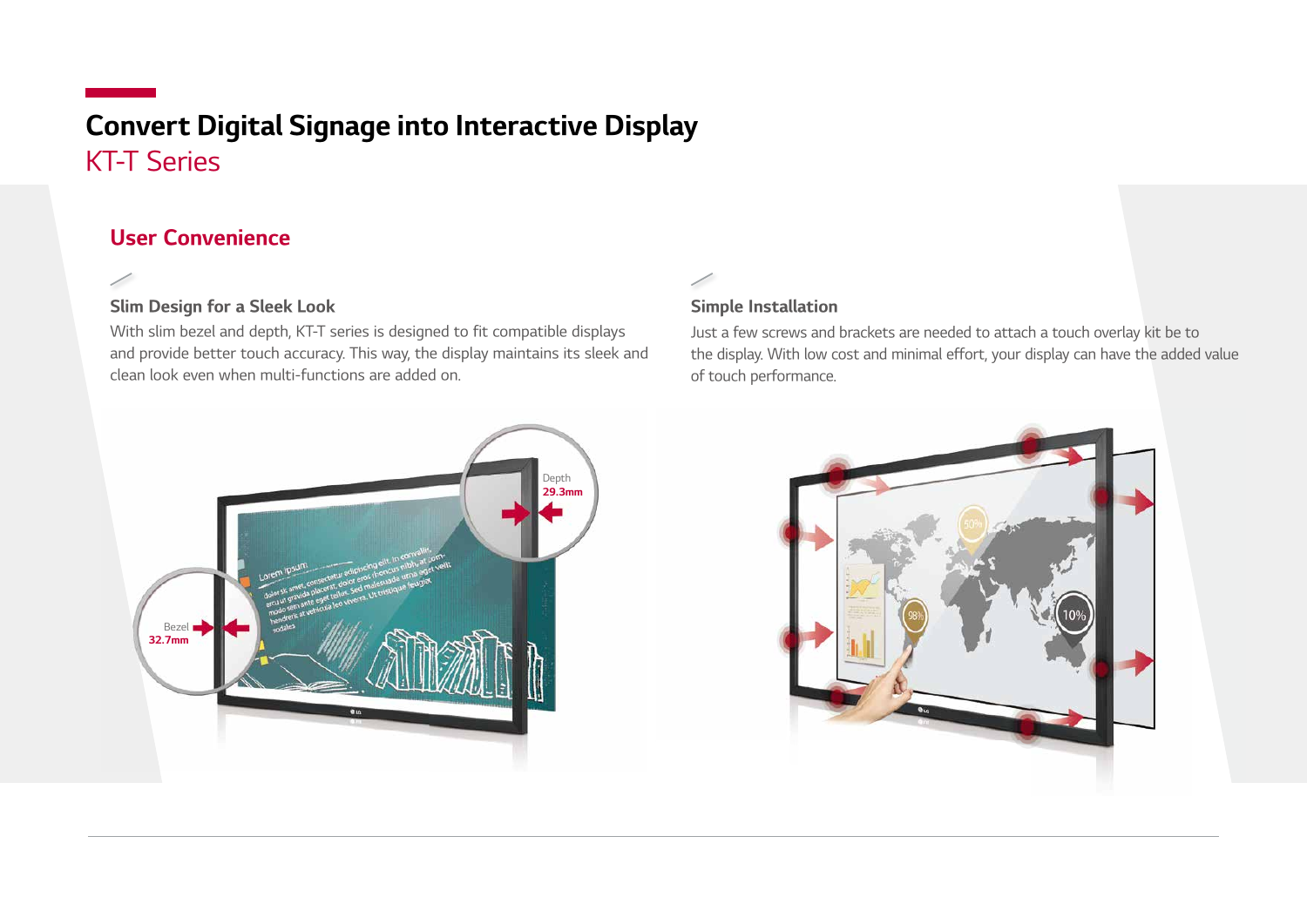# KT-T Series Convert Digital Signage into Interactive Display

#### User Convenience

╱

#### Slim Design for a Sleek Look

With slim bezel and depth, KT-T series is designed to fit compatible displays and provide better touch accuracy. This way, the display maintains its sleek and clean look even when multi-functions are added on.

#### Simple Installation

Just a few screws and brackets are needed to attach a touch overlay kit be to the display. With low cost and minimal effort, your display can have the added value of touch performance.



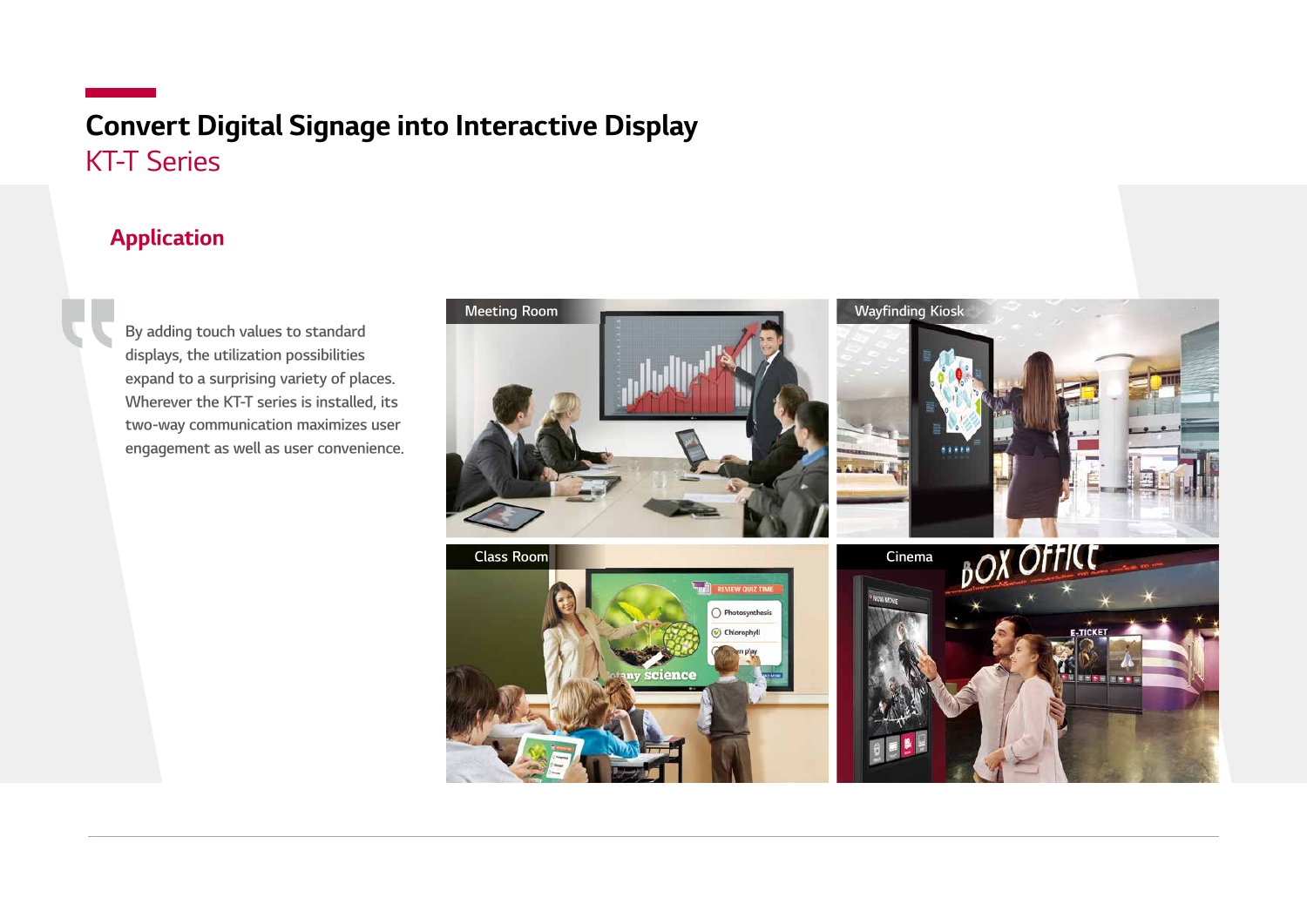## KT-T Series Convert Digital Signage into Interactive Display

#### Application

By adding touch values to standard displays, the utilization possibilities expand to a surprising variety of places. Wherever the KT-T series is installed, its two-way communication maximizes user engagement as well as user convenience.

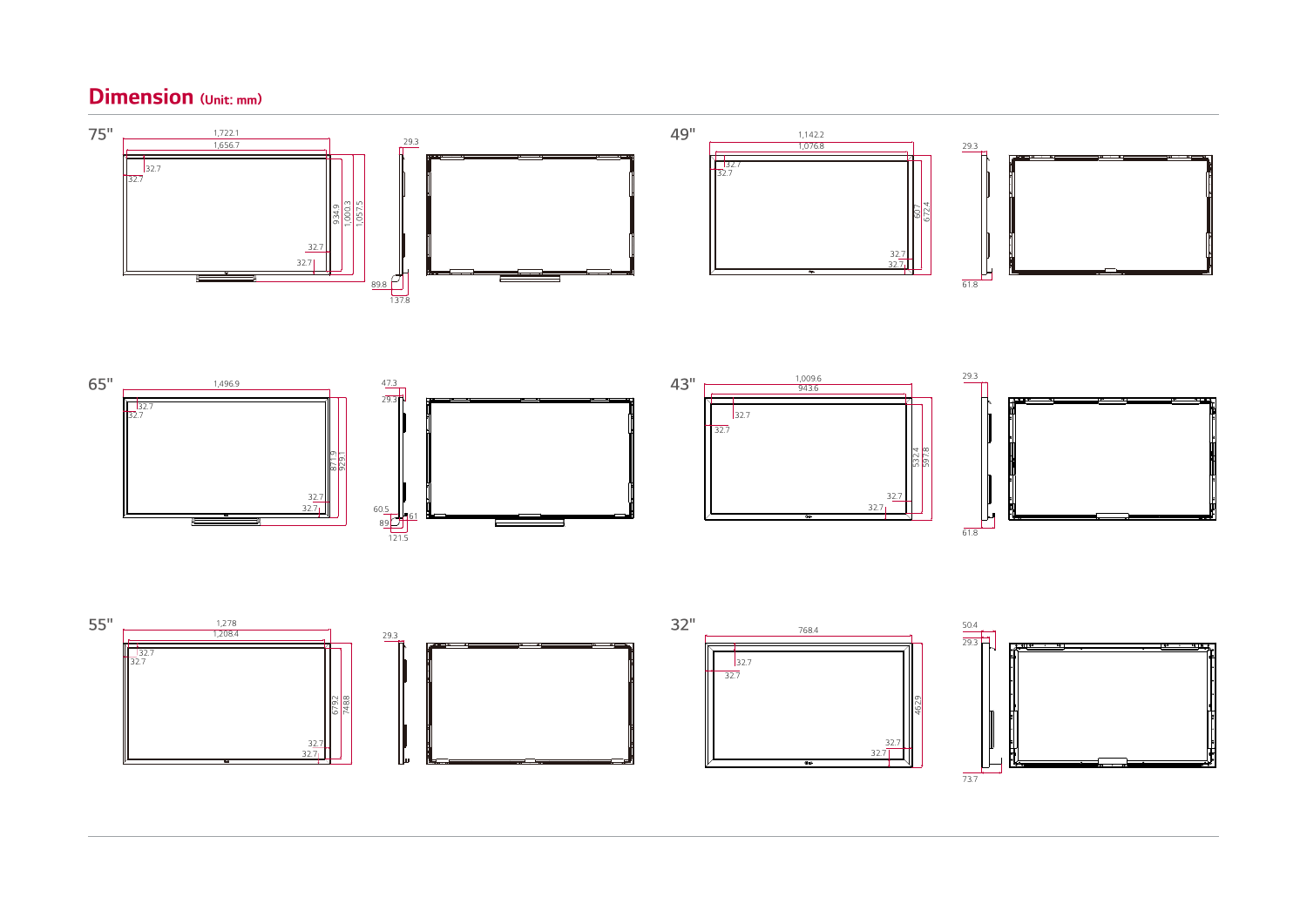#### Dimension (Unit: mm)



 $73.7$